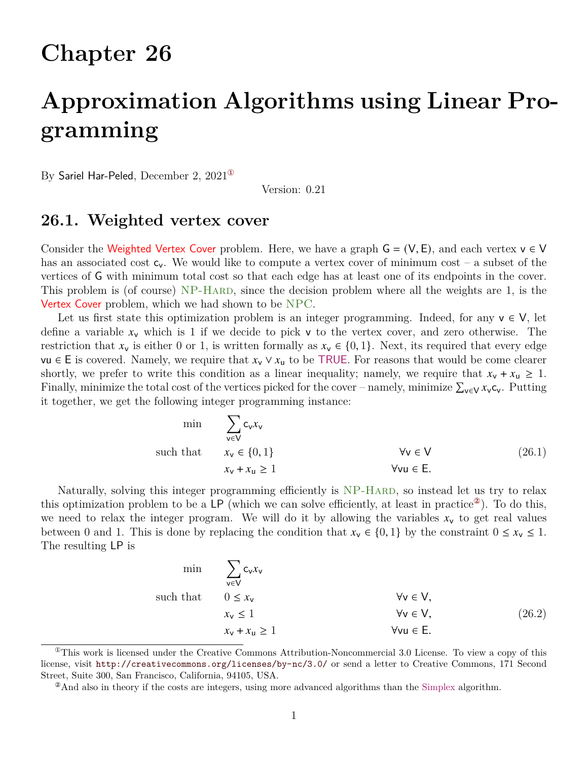## **Chapter 26**

# **Approximation Algorithms using Linear Programming**

By Sariel Har-Peled, December 2, 2021[①](#page-0-0)

Version: 0.21

### **26.1. Weighted vertex cover**

Consider the Weighted Vertex Cover problem. Here, we have a graph  $G = (V, E)$ , and each vertex  $v \in V$ has an associated cost  $c_v$ . We would like to compute a vertex cover of minimum cost – a subset of the vertices of G with minimum total cost so that each edge has at least one of its endpoints in the cover. This problem is (of course) NP-HARD, since the decision problem where all the weights are 1, is the Vertex Cover problem, which we had shown to be NPC.

Let us first state this optimization problem is an integer programming. Indeed, for any  $v \in V$ , let define a variable  $x_v$  which is 1 if we decide to pick v to the vertex cover, and zero otherwise. The restriction that  $x_v$  is either 0 or 1, is written formally as  $x_v \in \{0, 1\}$ . Next, its required that every edge vu ∈ E is covered. Namely, we require that  $x_v \vee x_u$  to be TRUE. For reasons that would be come clearer shortly, we prefer to write this condition as a linear inequality; namely, we require that  $x_v + x_u \geq 1$ . Finally, minimize the total cost of the vertices picked for the cover – namely, minimize  $\sum_{v \in V} x_v c_v$ . Putting it together, we get the following integer programming instance:

<span id="page-0-2"></span>
$$
\min \sum_{v \in V} c_v x_v
$$
\n
$$
\text{such that} \qquad x_v \in \{0, 1\}
$$
\n
$$
x_v + x_u \ge 1
$$
\n
$$
\forall v \in V \qquad (26.1)
$$
\n
$$
\forall v \in V
$$
\n
$$
\forall v \in E.
$$

Naturally, solving this integer programming efficiently is NP-HARD, so instead let us try to relax this optimization problem to be a LP (which we can solve efficiently, at least in practice<sup>22</sup>). To do this, we need to relax the integer program. We will do it by allowing the variables  $x<sub>v</sub>$  to get real values between 0 and 1. This is done by replacing the condition that  $x_v \in \{0, 1\}$  by the constraint  $0 \le x_v \le 1$ . The resulting LP is

<span id="page-0-3"></span>
$$
\min \quad \sum_{v \in V} c_v x_v
$$
\n
$$
0 \le x_v
$$
\n
$$
x_v \le 1
$$
\n
$$
x_v + x_u \ge 1
$$
\n
$$
x_v + x_u \ge 1
$$
\n
$$
x_v + x_u \ge 1
$$
\nwhere  $U$ ,  $U$  is the function  $U$  for  $u$  and  $U$  is the function  $U$  for  $u$  and  $U$  for  $u$  for  $u$  for  $u$  for  $u$  for  $u$  for  $u$  for  $u$  for  $u$  for  $u$  for  $u$  for  $u$  for  $u$  for  $u$  for  $u$  for  $u$  for  $u$  for  $u$  for  $u$  for  $u$  for  $u$  for  $u$  for  $u$  for  $u$  for  $u$  for  $u$  for  $u$  for  $u$  for  $u$  for  $u$  for  $u$  for  $u$  for  $u$  for  $u$  for  $u$  for  $u$  for  $u$  for  $u$  for  $u$  for  $u$  for  $u$  for  $u$  for  $u$  for  $u$  for  $u$  for  $u$  for  $u$  for  $u$  for  $u$  for  $u$  for  $u$  for  $u$  for  $u$  for  $u$  for  $u$  for  $u$  for  $u$  for  $u$  for  $u$  for  $u$  for  $u$  for  $u$  for  $u$  for  $u$  for  $u$  for  $u$  for  $u$  for  $u$  for  $u$  for  $u$  for  $u$  for  $u$  for  $u$  for  $u$ 

<span id="page-0-0"></span> $^{\circ}$ This work is licensed under the Creative Commons Attribution-Noncommercial 3.0 License. To view a copy of this license, visit <http://creativecommons.org/licenses/by-nc/3.0/> or send a letter to Creative Commons, 171 Second Street, Suite 300, San Francisco, California, 94105, USA.

<span id="page-0-1"></span><sup>②</sup>And also in theory if the costs are integers, using more advanced algorithms than the Simplex algorithm.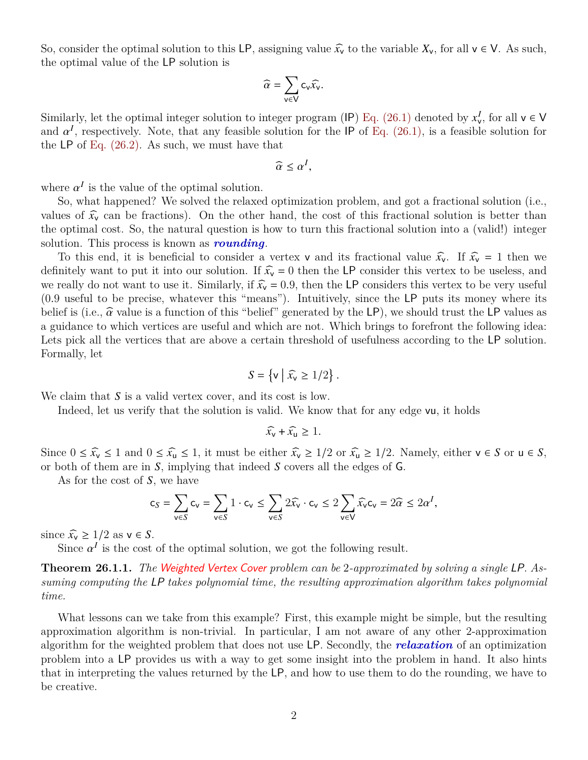So, consider the optimal solution to this LP, assigning value  $\widehat{x_v}$  to the variable  $X_v$ , for all  $v \in V$ . As such, the optimal value of the LP solution is

$$
\widehat{\alpha} = \sum_{v \in V} c_v \widehat{x_v}.
$$

Similarly, let the optimal integer solution to integer program (IP) [Eq. \(26.1\)](#page-0-2) denoted by  $x_v^I$  $\frac{I}{v}$ , for all  $v \in V$ and  $\alpha^I$ , respectively. Note, that any feasible solution for the IP of [Eq. \(26.1\),](#page-0-2) is a feasible solution for the LP of Eq.  $(26.2)$ . As such, we must have that

$$
\widehat{\alpha} \leq \alpha^I,
$$

where  $\alpha^I$  is the value of the optimal solution.

So, what happened? We solved the relaxed optimization problem, and got a fractional solution (i.e., values of  $\hat{x_v}$  can be fractions). On the other hand, the cost of this fractional solution is better than the optimal cost. So, the natural question is how to turn this fractional solution into a (valid!) integer solution. This process is known as *rounding*.

To this end, it is beneficial to consider a vertex v and its fractional value  $\hat{x_v}$ . If  $\hat{x_v} = 1$  then we definitely want to put it into our solution. If  $\widehat{x_v} = 0$  then the LP consider this vertex to be useless, and we really do not want to use it. Similarly, if  $\hat{x_v} = 0.9$ , then the LP considers this vertex to be very useful (0.9 useful to be precise, whatever this "means"). Intuitively, since the LP puts its money where its belief is (i.e.,  $\hat{\alpha}$  value is a function of this "belief" generated by the LP), we should trust the LP values as a guidance to which vertices are useful and which are not. Which brings to forefront the following idea: Lets pick all the vertices that are above a certain threshold of usefulness according to the LP solution. Formally, let

$$
S = \left\{ \mathsf{v} \mid \widehat{x_{\mathsf{v}}} \ge 1/2 \right\}.
$$

We claim that  $S$  is a valid vertex cover, and its cost is low.

Indeed, let us verify that the solution is valid. We know that for any edge vu, it holds

$$
\widehat{x_{\mathsf{v}}} + \widehat{x_{\mathsf{u}}} \geq 1.
$$

Since  $0 \leq \widehat{x_v} \leq 1$  and  $0 \leq \widehat{x_u} \leq 1$ , it must be either  $\widehat{x_v} \geq 1/2$  or  $\widehat{x_u} \geq 1/2$ . Namely, either  $v \in S$  or  $u \in S$ , or both of them are in  $S$ , implying that indeed  $S$  covers all the edges of  $G$ .

As for the cost of  $S$ , we have

$$
\mathsf{c}_S = \sum_{\mathsf{v}\in S} \mathsf{c}_\mathsf{v} = \sum_{\mathsf{v}\in S} 1\cdot \mathsf{c}_\mathsf{v} \leq \sum_{\mathsf{v}\in S} 2\widehat{x_\mathsf{v}}\cdot \mathsf{c}_\mathsf{v} \leq 2\sum_{\mathsf{v}\in \mathsf{V}} \widehat{x_\mathsf{v}} \mathsf{c}_\mathsf{v} = 2\widehat{\alpha} \leq 2\alpha^I,
$$

since  $\widehat{x_v} \geq 1/2$  as  $v \in S$ .

Since  $\alpha^I$  is the cost of the optimal solution, we got the following result.

**Theorem 26.1.1.** *The* Weighted Vertex Cover *problem can be* 2*-approximated by solving a single* LP*. Assuming computing the* LP *takes polynomial time, the resulting approximation algorithm takes polynomial time.*

What lessons can we take from this example? First, this example might be simple, but the resulting approximation algorithm is non-trivial. In particular, I am not aware of any other 2-approximation algorithm for the weighted problem that does not use LP. Secondly, the *relaxation* of an optimization problem into a LP provides us with a way to get some insight into the problem in hand. It also hints that in interpreting the values returned by the LP, and how to use them to do the rounding, we have to be creative.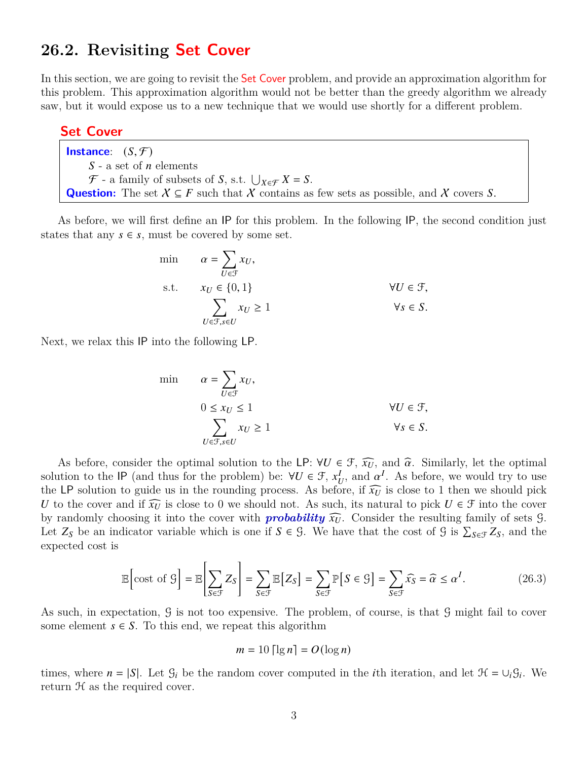## **26.2. Revisiting Set Cover**

In this section, we are going to revisit the **Set Cover** problem, and provide an approximation algorithm for this problem. This approximation algorithm would not be better than the greedy algorithm we already saw, but it would expose us to a new technique that we would use shortly for a different problem.

#### **Set Cover**

| <b>Instance</b> : $(S, \mathcal{F})$                                                                   |
|--------------------------------------------------------------------------------------------------------|
| $S$ - a set of <i>n</i> elements                                                                       |
| $\mathcal{F}$ - a family of subsets of S, s.t. $\bigcup_{X \in \mathcal{F}} X = S$ .                   |
| <b>Question:</b> The set $X \subseteq F$ such that X contains as few sets as possible, and X covers S. |

As before, we will first define an IP for this problem. In the following IP, the second condition just states that any  $s \in s$ , must be covered by some set.

min 
$$
\alpha = \sum_{U \in \mathcal{F}} x_U
$$
,  
s.t.  $x_U \in \{0, 1\}$   
 $\sum_{U \in \mathcal{F}, s \in U} x_U \ge 1$   $\forall U \in \mathcal{F},$   
 $\forall s \in S.$ 

Next, we relax this IP into the following LP.

$$
\begin{aligned}\n\min \qquad & \alpha = \sum_{U \in \mathcal{F}} x_U, \\
& 0 \le x_U \le 1 \\
& \sum_{U \in \mathcal{F}, s \in U} x_U \ge 1\n\end{aligned}\n\qquad\qquad \forall U \in \mathcal{F},
$$
\n
$$
\forall s \in S.
$$

As before, consider the optimal solution to the LP:  $\forall U \in \mathcal{F}$ ,  $\widehat{x_U}$ , and  $\widehat{\alpha}$ . Similarly, let the optimal solution to the IP (and thus for the problem) be:  $\forall U \in \mathcal{F}, x_t^1$  $\iota_U^I$ , and  $\alpha^I$ . As before, we would try to use the LP solution to guide us in the rounding process. As before, if  $\widehat{x_U}$  is close to 1 then we should pick U to the cover and if  $\widehat{x_U}$  is close to 0 we should not. As such, its natural to pick  $U \in \mathcal{F}$  into the cover by randomly choosing it into the cover with **probability**  $\widehat{x_U}$ . Consider the resulting family of sets  $\widehat{S}$ . Let  $Z_s$  be an indicator variable which is one if  $S \in \mathcal{G}$ . We have that the cost of  $\mathcal{G}$  is  $\sum_{S \in \mathcal{F}} Z_S$ , and the expected cost is

$$
\mathbb{E}\left[\text{cost of } \mathcal{G}\right] = \mathbb{E}\left[\sum_{S \in \mathcal{F}} Z_S\right] = \sum_{S \in \mathcal{F}} \mathbb{E}\left[Z_S\right] = \sum_{S \in \mathcal{F}} \mathbb{P}\left[S \in \mathcal{G}\right] = \sum_{S \in \mathcal{F}} \widehat{x_S} = \widehat{\alpha} \le \alpha^I. \tag{26.3}
$$

As such, in expectation, G is not too expensive. The problem, of course, is that G might fail to cover some element  $s \in S$ . To this end, we repeat this algorithm

<span id="page-2-0"></span>
$$
m = 10 \lceil \lg n \rceil = O(\log n)
$$

times, where  $n = |S|$ . Let  $\mathcal{G}_i$  be the random cover computed in the *i*th iteration, and let  $\mathcal{H} = \cup_i \mathcal{G}_i$ . We return  $H$  as the required cover.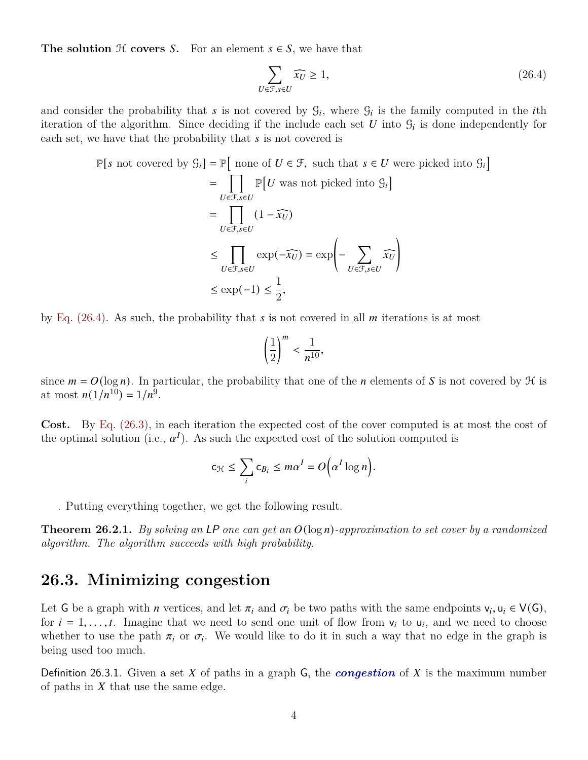**The solution**  $H$  **covers**  $S$ . For an element  $s \in S$ , we have that

<span id="page-3-0"></span>
$$
\sum_{U \in \mathcal{F}, s \in U} \widehat{x_U} \ge 1,\tag{26.4}
$$

and consider the probability that s is not covered by  $\mathcal{G}_i$ , where  $\mathcal{G}_i$  is the family computed in the *i*th iteration of the algorithm. Since deciding if the include each set U into  $\mathcal{G}_i$  is done independently for each set, we have that the probability that  $s$  is not covered is

$$
\mathbb{P}[s \text{ not covered by } \mathcal{G}_i] = \mathbb{P}[\text{ none of } U \in \mathcal{F}, \text{ such that } s \in U \text{ were picked into } \mathcal{G}_i]
$$
\n
$$
= \prod_{U \in \mathcal{F}, s \in U} \mathbb{P}[U \text{ was not picked into } \mathcal{G}_i]
$$
\n
$$
= \prod_{U \in \mathcal{F}, s \in U} (1 - \widehat{x_U})
$$
\n
$$
\leq \prod_{U \in \mathcal{F}, s \in U} \exp(-\widehat{x_U}) = \exp\left(-\sum_{U \in \mathcal{F}, s \in U} \widehat{x_U}\right)
$$
\n
$$
\leq \exp(-1) \leq \frac{1}{2},
$$

by Eq.  $(26.4)$ . As such, the probability that s is not covered in all m iterations is at most

$$
\left(\frac{1}{2}\right)^m < \frac{1}{n^{10}},
$$

since  $m = O(\log n)$ . In particular, the probability that one of the *n* elements of *S* is not covered by  $\mathcal H$  is at most  $n(1/n^{10}) = 1/n^9$ .

**Cost.** By [Eq. \(26.3\),](#page-2-0) in each iteration the expected cost of the cover computed is at most the cost of the optimal solution (i.e.,  $\alpha^I$ ). As such the expected cost of the solution computed is

$$
c_{\mathcal{H}} \leq \sum_i c_{B_i} \leq m\alpha^I = O\Big(\alpha^I \log n\Big).
$$

. Putting everything together, we get the following result.

**Theorem 26.2.1.** *By solving an* LP *one can get an*  $O(\log n)$ -approximation to set cover by a randomized *algorithm. The algorithm succeeds with high probability.*

## **26.3. Minimizing congestion**

Let G be a graph with *n* vertices, and let  $\pi_i$  and  $\sigma_i$  be two paths with the same endpoints  $v_i, u_i \in V(G)$ , for  $i = 1, \ldots, t$ . Imagine that we need to send one unit of flow from  $v_i$  to  $u_i$ , and we need to choose whether to use the path  $\pi_i$  or  $\sigma_i$ . We would like to do it in such a way that no edge in the graph is being used too much.

Definition 26.3.1. Given a set  $X$  of paths in a graph  $G$ , the *congestion* of  $X$  is the maximum number of paths in  $X$  that use the same edge.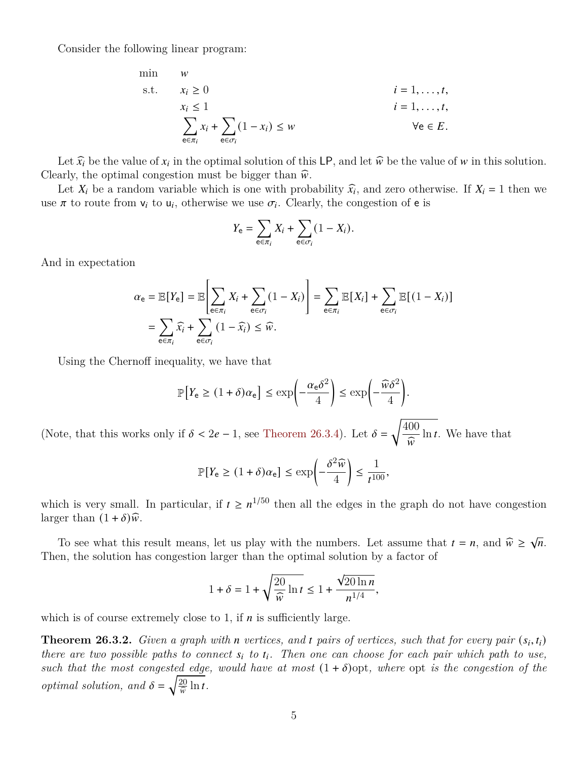Consider the following linear program:

min 
$$
w
$$
  
\ns.t.  $x_i \ge 0$   
\n $x_i \le 1$   
\n
$$
\sum_{e \in \pi_i} x_i + \sum_{e \in \sigma_i} (1 - x_i) \le w
$$
\n $i = 1, ..., t,$   
\n $\forall e \in E.$ 

Let  $\hat{x}_i$  be the value of  $x_i$  in the optimal solution of this LP, and let  $\hat{w}$  be the value of w in this solution. Clearly, the optimal congestion must be bigger than  $\hat{w}$ .

Let  $X_i$  be a random variable which is one with probability  $\hat{x}_i$ , and zero otherwise. If  $X_i = 1$  then we  $\pi$  to real the use  $\pi$  Clearly the conception of  $\alpha$  is use  $\pi$  to route from  $v_i$  to  $u_i$ , otherwise we use  $\sigma_i$ . Clearly, the congestion of **e** is

$$
Y_{\mathsf{e}} = \sum_{\mathsf{e} \in \pi_i} X_i + \sum_{\mathsf{e} \in \sigma_i} (1 - X_i).
$$

And in expectation

$$
\alpha_{\mathsf{e}} = \mathbb{E}[Y_{\mathsf{e}}] = \mathbb{E}\left[\sum_{\mathsf{e}\in\pi_{i}} X_{i} + \sum_{\mathsf{e}\in\sigma_{i}} (1 - X_{i})\right] = \sum_{\mathsf{e}\in\pi_{i}} \mathbb{E}[X_{i}] + \sum_{\mathsf{e}\in\sigma_{i}} \mathbb{E}[(1 - X_{i})]
$$

$$
= \sum_{\mathsf{e}\in\pi_{i}} \widehat{x}_{i} + \sum_{\mathsf{e}\in\sigma_{i}} (1 - \widehat{x}_{i}) \leq \widehat{w}.
$$

Using the Chernoff inequality, we have that

$$
\mathbb{P}\Big[Y_{\mathsf{e}} \ge (1+\delta)\alpha_{\mathsf{e}}\Big] \le \exp\left(-\frac{\alpha_{\mathsf{e}}\delta^2}{4}\right) \le \exp\left(-\frac{\widehat{\omega}\delta^2}{4}\right).
$$

(Note, that this works only if  $\delta < 2e - 1$ , see [Theorem 26.3.4\)](#page-5-0). Let  $\delta = \sqrt{\frac{400}{\epsilon}}$  $\frac{1}{\widehat{w}}$  $ln t$ . We have that

$$
\mathbb{P}[Y_{\mathsf{e}} \ge (1+\delta)\alpha_{\mathsf{e}}] \le \exp\left(-\frac{\delta^2 \widehat{w}}{4}\right) \le \frac{1}{t^{100}},
$$

which is very small. In particular, if  $t \geq n^{1/50}$  then all the edges in the graph do not have congestion larger than  $(1 + \delta)\hat{w}$ .

To see what this result means, let us play with the numbers. Let assume that  $t = n$ , and  $\hat{w} \ge \sqrt{n}$ . Then, the solution has congestion larger than the optimal solution by a factor of

$$
1+\delta = 1+\sqrt{\frac{20}{\widehat{w}}\ln t} \leq 1+\frac{\sqrt{20\ln n}}{n^{1/4}},
$$

which is of course extremely close to 1, if  $n$  is sufficiently large.

**Theorem 26.3.2.** *Given a graph with n* vertices, and *t* pairs of vertices, such that for every pair  $(s_i, t_i)$ *there are two possible paths to connect*  $s_i$  to  $t_i$ . Then one can choose for each pair which path to use, *such that the most congested edge, would have at most*  $(1 + \delta)$ opt*, where* opt *is the congestion of the optimal solution, and*  $\delta = \sqrt{\frac{20}{\hat{w}} \ln t}$ .